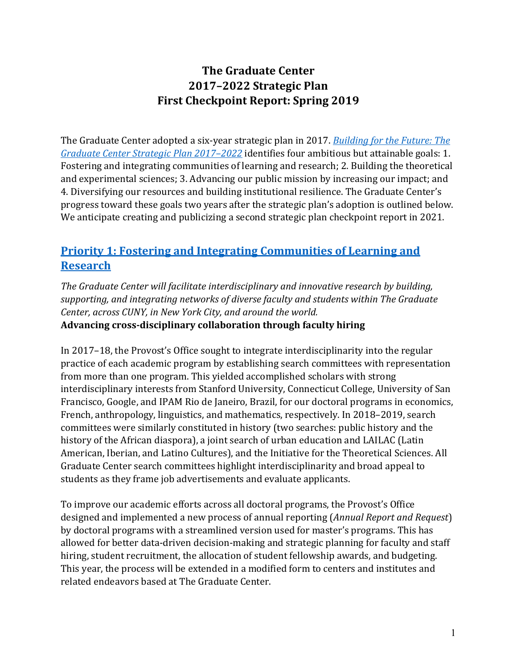# **The Graduate Center 2017–2022 Strategic Plan First Checkpoint Report: Spring 2019**

The Graduate Center adopted a six-year strategic plan in 2017. *[Building for the Future: The](https://www.gc.cuny.edu/About-the-GC/Provost-s-Office/Strategic-Plan-2017-2022/Introduction)  Graduate [Center Strategic Plan 2017–2022](https://www.gc.cuny.edu/About-the-GC/Provost-s-Office/Strategic-Plan-2017-2022/Introduction)* identifies four ambitious but attainable goals: 1. Fostering and integrating communities of learning and research; 2. Building the theoretical and experimental sciences; 3. Advancing our public mission by increasing our impact; and 4. Diversifying our resources and building institutional resilience. The Graduate Center's progress toward these goals two years after the strategic plan's adoption is outlined below. We anticipate creating and publicizing a second strategic plan checkpoint report in 2021.

# **Priority 1: [Fostering and Integrating Communities of Learning and](http://www.gc.cuny.edu/About-the-GC/Provost-s-Office/Strategic-Plan-2017-2022/Four-Priorities/Fostering-and-integrating-communities)  [Research](http://www.gc.cuny.edu/About-the-GC/Provost-s-Office/Strategic-Plan-2017-2022/Four-Priorities/Fostering-and-integrating-communities)**

*The Graduate Center will facilitate interdisciplinary and innovative research by building, supporting, and integrating networks of diverse faculty and students within The Graduate Center, across CUNY, in New York City, and around the world.*  **Advancing cross-disciplinary collaboration through faculty hiring**

In 2017–18, the Provost's Office sought to integrate interdisciplinarity into the regular practice of each academic program by establishing search committees with representation from more than one program. This yielded accomplished scholars with strong interdisciplinary interests from Stanford University, Connecticut College, University of San Francisco, Google, and IPAM Rio de Janeiro, Brazil, for our doctoral programs in economics, French, anthropology, linguistics, and mathematics, respectively. In 2018–2019, search committees were similarly constituted in history (two searches: public history and the history of the African diaspora), a joint search of urban education and LAILAC (Latin American, Iberian, and Latino Cultures), and the Initiative for the Theoretical Sciences. All Graduate Center search committees highlight interdisciplinarity and broad appeal to students as they frame job advertisements and evaluate applicants.

To improve our academic efforts across all doctoral programs, the Provost's Office designed and implemented a new process of annual reporting (*Annual Report and Request*) by doctoral programs with a streamlined version used for master's programs. This has allowed for better data-driven decision-making and strategic planning for faculty and staff hiring, student recruitment, the allocation of student fellowship awards, and budgeting. This year, the process will be extended in a modified form to centers and institutes and related endeavors based at The Graduate Center.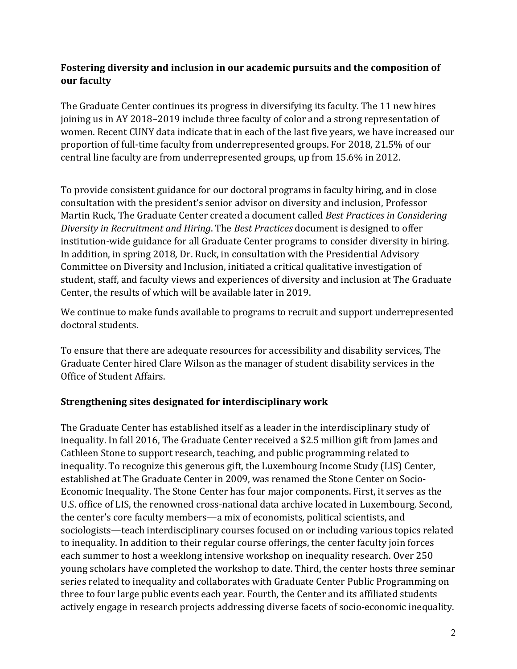### **Fostering diversity and inclusion in our academic pursuits and the composition of our faculty**

The Graduate Center continues its progress in diversifying its faculty. The 11 new hires joining us in AY 2018–2019 include three faculty of color and a strong representation of women. Recent CUNY data indicate that in each of the last five years, we have increased our proportion of full-time faculty from underrepresented groups. For 2018, 21.5% of our central line faculty are from underrepresented groups, up from 15.6% in 2012.

To provide consistent guidance for our doctoral programs in faculty hiring, and in close consultation with the president's senior advisor on diversity and inclusion, Professor Martin Ruck, The Graduate Center created a document called *Best Practices in Considering Diversity in Recruitment and Hiring*. The *Best Practices* document is designed to offer institution-wide guidance for all Graduate Center programs to consider diversity in hiring. In addition, in spring 2018, Dr. Ruck, in consultation with the Presidential Advisory Committee on Diversity and Inclusion, initiated a critical qualitative investigation of student, staff, and faculty views and experiences of diversity and inclusion at The Graduate Center, the results of which will be available later in 2019.

We continue to make funds available to programs to recruit and support underrepresented doctoral students.

To ensure that there are adequate resources for accessibility and disability services, The Graduate Center hired Clare Wilson as the manager of student disability services in the Office of Student Affairs.

### **Strengthening sites designated for interdisciplinary work**

The Graduate Center has established itself as a leader in the interdisciplinary study of inequality. In fall 2016, The Graduate Center received a \$2.5 million gift from James and Cathleen Stone to support research, teaching, and public programming related to inequality. To recognize this generous gift, the Luxembourg Income Study (LIS) Center, established at The Graduate Center in 2009, was renamed the Stone Center on Socio-Economic Inequality. The Stone Center has four major components. First, it serves as the U.S. office of LIS, the renowned cross-national data archive located in Luxembourg. Second, the center's core faculty members—a mix of economists, political scientists, and sociologists—teach interdisciplinary courses focused on or including various topics related to inequality. In addition to their regular course offerings, the center faculty join forces each summer to host a weeklong intensive workshop on inequality research. Over 250 young scholars have completed the workshop to date. Third, the center hosts three seminar series related to inequality and collaborates with Graduate Center Public Programming on three to four large public events each year. Fourth, the Center and its affiliated students actively engage in research projects addressing diverse facets of socio-economic inequality.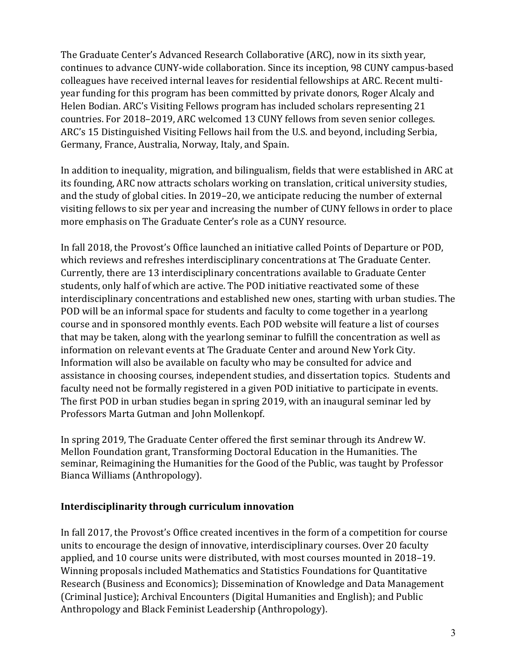The Graduate Center's Advanced Research Collaborative (ARC), now in its sixth year, continues to advance CUNY-wide collaboration. Since its inception, 98 CUNY campus-based colleagues have received internal leaves for residential fellowships at ARC. Recent multiyear funding for this program has been committed by private donors, Roger Alcaly and Helen Bodian. ARC's Visiting Fellows program has included scholars representing 21 countries. For 2018–2019, ARC welcomed 13 CUNY fellows from seven senior colleges. ARC's 15 Distinguished Visiting Fellows hail from the U.S. and beyond, including Serbia, Germany, France, Australia, Norway, Italy, and Spain.

In addition to inequality, migration, and bilingualism, fields that were established in ARC at its founding, ARC now attracts scholars working on translation, critical university studies, and the study of global cities. In 2019–20, we anticipate reducing the number of external visiting fellows to six per year and increasing the number of CUNY fellows in order to place more emphasis on The Graduate Center's role as a CUNY resource.

In fall 2018, the Provost's Office launched an initiative called Points of Departure or POD, which reviews and refreshes interdisciplinary concentrations at The Graduate Center. Currently, there are 13 interdisciplinary concentrations available to Graduate Center students, only half of which are active. The POD initiative reactivated some of these interdisciplinary concentrations and established new ones, starting with urban studies. The POD will be an informal space for students and faculty to come together in a yearlong course and in sponsored monthly events. Each POD website will feature a list of courses that may be taken, along with the yearlong seminar to fulfill the concentration as well as information on relevant events at The Graduate Center and around New York City. Information will also be available on faculty who may be consulted for advice and assistance in choosing courses, independent studies, and dissertation topics. Students and faculty need not be formally registered in a given POD initiative to participate in events. The first POD in urban studies began in spring 2019, with an inaugural seminar led by Professors Marta Gutman and John Mollenkopf.

In spring 2019, The Graduate Center offered the first seminar through its Andrew W. Mellon Foundation grant, Transforming Doctoral Education in the Humanities. The seminar, Reimagining the Humanities for the Good of the Public, was taught by Professor Bianca Williams (Anthropology).

#### **Interdisciplinarity through curriculum innovation**

In fall 2017, the Provost's Office created incentives in the form of a competition for course units to encourage the design of innovative, interdisciplinary courses. Over 20 faculty applied, and 10 course units were distributed, with most courses mounted in 2018–19. Winning proposals included Mathematics and Statistics Foundations for Quantitative Research (Business and Economics); Dissemination of Knowledge and Data Management (Criminal Justice); Archival Encounters (Digital Humanities and English); and Public Anthropology and Black Feminist Leadership (Anthropology).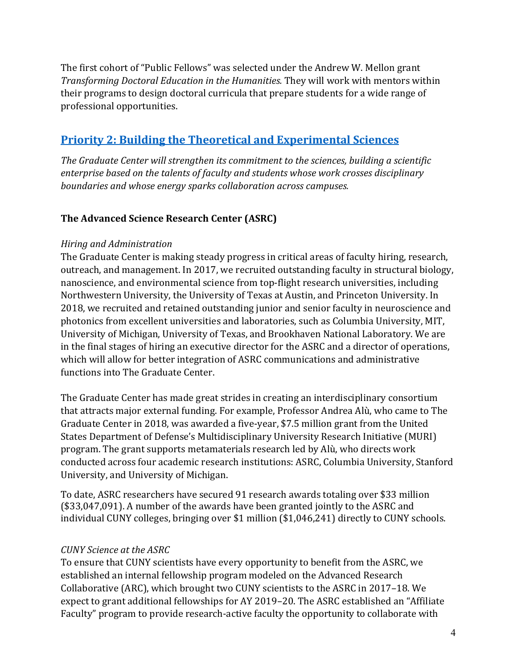The first cohort of "Public Fellows" was selected under the Andrew W. Mellon grant *Transforming Doctoral Education in the Humanities.* They will work with mentors within their programs to design doctoral curricula that prepare students for a wide range of professional opportunities.

# **Priority 2: [Building the Theoretical and Experimental Sciences](http://www.gc.cuny.edu/About-the-GC/Provost-s-Office/Strategic-Plan-2017-2022/Four-Priorities/Building-the-theoretical-and-experimental-sciences)**

*The Graduate Center will strengthen its commitment to the sciences, building a scientific enterprise based on the talents of faculty and students whose work crosses disciplinary boundaries and whose energy sparks collaboration across campuses.*

## **The Advanced Science Research Center (ASRC)**

#### *Hiring and Administration*

The Graduate Center is making steady progress in critical areas of faculty hiring, research, outreach, and management. In 2017, we recruited outstanding faculty in structural biology, nanoscience, and environmental science from top-flight research universities, including Northwestern University, the University of Texas at Austin, and Princeton University. In 2018, we recruited and retained outstanding junior and senior faculty in neuroscience and photonics from excellent universities and laboratories, such as Columbia University, MIT, University of Michigan, University of Texas, and Brookhaven National Laboratory. We are in the final stages of hiring an executive director for the ASRC and a director of operations, which will allow for better integration of ASRC communications and administrative functions into The Graduate Center.

The Graduate Center has made great strides in creating an interdisciplinary consortium that attracts major external funding. For example, Professor Andrea Alù, who came to The Graduate Center in 2018, was awarded a five-year, \$7.5 million grant from the United States Department of Defense's Multidisciplinary University Research Initiative (MURI) program. The grant supports metamaterials research led by Alù, who directs work conducted across four academic research institutions: ASRC, Columbia University, Stanford University, and University of Michigan.

To date, ASRC researchers have secured 91 research awards totaling over \$33 million (\$33,047,091). A number of the awards have been granted jointly to the ASRC and individual CUNY colleges, bringing over \$1 million (\$1,046,241) directly to CUNY schools.

### *CUNY Science at the ASRC*

To ensure that CUNY scientists have every opportunity to benefit from the ASRC, we established an internal fellowship program modeled on the Advanced Research Collaborative (ARC), which brought two CUNY scientists to the ASRC in 2017–18. We expect to grant additional fellowships for AY 2019–20. The ASRC established an "Affiliate Faculty" program to provide research-active faculty the opportunity to collaborate with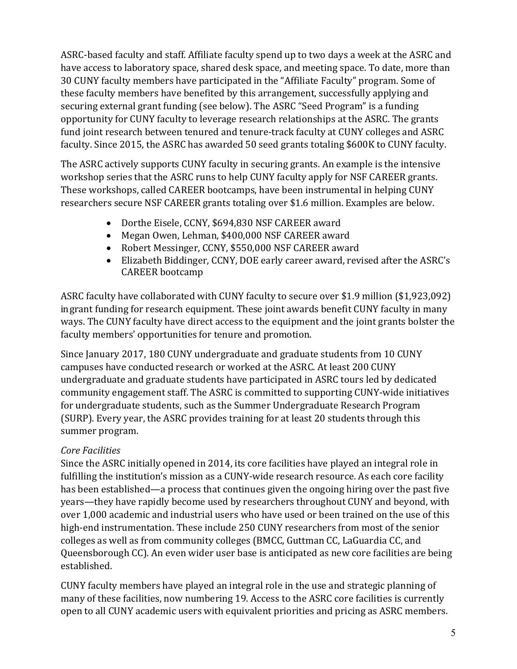ASRC-based faculty and staff. Affiliate faculty spend up to two days a week at the ASRC and have access to laboratory space, shared desk space, and meeting space. To date, more than 30 CUNY faculty members have participated in the "Affiliate Faculty" program. Some of these faculty members have benefited by this arrangement, successfully applying and securing external grant funding (see below). The ASRC "Seed Program" is a funding opportunity for CUNY faculty to leverage research relationships at the ASRC. The grants fund joint research between tenured and tenure-track faculty at CUNY colleges and ASRC faculty. Since 2015, the ASRC has awarded 50 seed grants totaling \$600K to CUNY faculty.

The ASRC actively supports CUNY faculty in securing grants. An example is the intensive workshop series that the ASRC runs to help CUNY faculty apply for NSF CAREER grants. These workshops, called CAREER bootcamps, have been instrumental in helping CUNY researchers secure NSF CAREER grants totaling over \$1.6 million. Examples are below.

- Dorthe Eisele, CCNY, \$694,830 NSF CAREER award
- Megan Owen, Lehman, \$400,000 NSF CAREER award
- Robert Messinger, CCNY, \$550,000 NSF CAREER award
- Elizabeth Biddinger, CCNY, DOE early career award, revised after the ASRC's CAREER bootcamp

ASRC faculty have collaborated with CUNY faculty to secure over \$1.9 million (\$1,923,092) in grant funding for research equipment. These joint awards benefit CUNY faculty in many ways. The CUNY faculty have direct access to the equipment and the joint grants bolster the faculty members' opportunities for tenure and promotion.

Since January 2017, 180 CUNY undergraduate and graduate students from 10 CUNY campuses have conducted research or worked at the ASRC. At least 200 CUNY undergraduate and graduate students have participated in ASRC tours led by dedicated community engagement staff. The ASRC is committed to supporting CUNY-wide initiatives for undergraduate students, such as the Summer Undergraduate Research Program (SURP). Every year, the ASRC provides training for at least 20 students through this summer program.

## *Core Facilities*

Since the ASRC initially opened in 2014, its core facilities have played an integral role in fulfilling the institution's mission as a CUNY-wide research resource. As each core facility has been established—a process that continues given the ongoing hiring over the past five years—they have rapidly become used by researchers throughout CUNY and beyond, with over 1,000 academic and industrial users who have used or been trained on the use of this high-end instrumentation. These include 250 CUNY researchers from most of the senior colleges as well as from community colleges (BMCC, Guttman CC, LaGuardia CC, and Queensborough CC). An even wider user base is anticipated as new core facilities are being established.

CUNY faculty members have played an integral role in the use and strategic planning of many of these facilities, now numbering 19. Access to the ASRC core facilities is currently open to all CUNY academic users with equivalent priorities and pricing as ASRC members.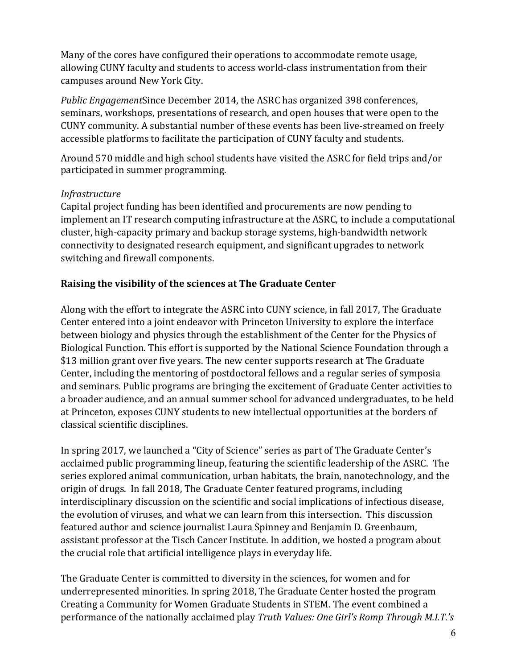Many of the cores have configured their operations to accommodate remote usage, allowing CUNY faculty and students to access world-class instrumentation from their campuses around New York City.

*Public Engagement*Since December 2014, the ASRC has organized 398 conferences, seminars, workshops, presentations of research, and open houses that were open to the CUNY community. A substantial number of these events has been live-streamed on freely accessible platforms to facilitate the participation of CUNY faculty and students.

Around 570 middle and high school students have visited the ASRC for field trips and/or participated in summer programming.

### *Infrastructure*

Capital project funding has been identified and procurements are now pending to implement an IT research computing infrastructure at the ASRC, to include a computational cluster, high-capacity primary and backup storage systems, high-bandwidth network connectivity to designated research equipment, and significant upgrades to network switching and firewall components.

### **Raising the visibility of the sciences at The Graduate Center**

Along with the effort to integrate the ASRC into CUNY science, in fall 2017, The Graduate Center entered into a joint endeavor with Princeton University to explore the interface between biology and physics through the establishment of the Center for the Physics of Biological Function. This effort is supported by the National Science Foundation through a \$13 million grant over five years. The new center supports research at The Graduate Center, including the mentoring of postdoctoral fellows and a regular series of symposia and seminars. Public programs are bringing the excitement of Graduate Center activities to a broader audience, and an annual summer school for advanced undergraduates, to be held at Princeton, exposes CUNY students to new intellectual opportunities at the borders of classical scientific disciplines.

In spring 2017, we launched a "City of Science" series as part of The Graduate Center's acclaimed public programming lineup, featuring the scientific leadership of the ASRC. The series explored animal communication, urban habitats, the brain, nanotechnology, and the origin of drugs. In fall 2018, The Graduate Center featured programs, including interdisciplinary discussion on the scientific and social implications of infectious disease, the evolution of viruses, and what we can learn from this intersection. This discussion featured author and science journalist Laura Spinney and Benjamin D. Greenbaum, assistant professor at the Tisch Cancer Institute. In addition, we hosted a program about the crucial role that artificial intelligence plays in everyday life.

The Graduate Center is committed to diversity in the sciences, for women and for underrepresented minorities. In spring 2018, The Graduate Center hosted the program Creating a Community for Women Graduate Students in STEM. The event combined a performance of the nationally acclaimed play *Truth Values: One Girl's Romp Through M.I.T.'s*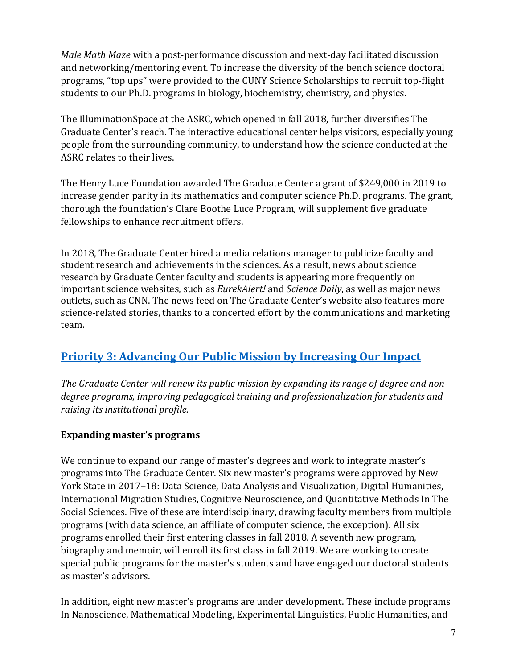*Male Math Maze* with a post-performance discussion and next-day facilitated discussion and networking/mentoring event. To increase the diversity of the bench science doctoral programs, "top ups" were provided to the CUNY Science Scholarships to recruit top-flight students to our Ph.D. programs in biology, biochemistry, chemistry, and physics.

The IlluminationSpace at the ASRC, which opened in fall 2018, further diversifies The Graduate Center's reach. The interactive educational center helps visitors, especially young people from the surrounding community, to understand how the science conducted at the ASRC relates to their lives.

The Henry Luce Foundation awarded The Graduate Center a grant of \$249,000 in 2019 to increase gender parity in its mathematics and computer science Ph.D. programs. The grant, thorough the foundation's Clare Boothe Luce Program, will supplement five graduate fellowships to enhance recruitment offers.

In 2018, The Graduate Center hired a media relations manager to publicize faculty and student research and achievements in the sciences. As a result, news about science research by Graduate Center faculty and students is appearing more frequently on important science websites, such as *EurekAlert!* and *Science Daily*, as well as major news outlets, such as CNN. The news feed on The Graduate Center's website also features more science-related stories, thanks to a concerted effort by the communications and marketing team.

# **Priority 3: [Advancing Our Public Mission by Increasing Our Impact](http://www.gc.cuny.edu/About-the-GC/Provost-s-Office/Strategic-Plan-2017-2022/Four-Priorities/Advancing-our-public-mission-by-increasing-our-impact)**

*The Graduate Center will renew its public mission by expanding its range of degree and nondegree programs, improving pedagogical training and professionalization for students and raising its institutional profile.*

### **Expanding master's programs**

We continue to expand our range of master's degrees and work to integrate master's programs into The Graduate Center. Six new master's programs were approved by New York State in 2017–18: Data Science, Data Analysis and Visualization, Digital Humanities, International Migration Studies, Cognitive Neuroscience, and Quantitative Methods In The Social Sciences. Five of these are interdisciplinary, drawing faculty members from multiple programs (with data science, an affiliate of computer science, the exception). All six programs enrolled their first entering classes in fall 2018. A seventh new program, biography and memoir, will enroll its first class in fall 2019. We are working to create special public programs for the master's students and have engaged our doctoral students as master's advisors.

In addition, eight new master's programs are under development. These include programs In Nanoscience, Mathematical Modeling, Experimental Linguistics, Public Humanities, and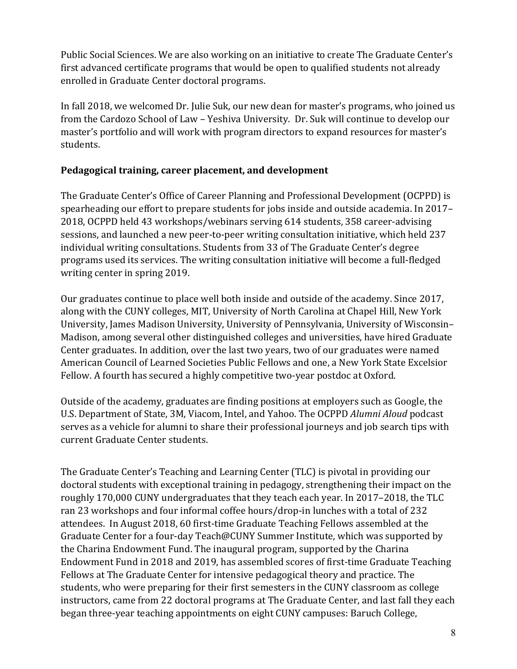Public Social Sciences. We are also working on an initiative to create The Graduate Center's first advanced certificate programs that would be open to qualified students not already enrolled in Graduate Center doctoral programs.

In fall 2018, we welcomed Dr. Julie Suk, our new dean for master's programs, who joined us from the Cardozo School of Law – Yeshiva University. Dr. Suk will continue to develop our master's portfolio and will work with program directors to expand resources for master's students.

### **Pedagogical training, career placement, and development**

The Graduate Center's Office of Career Planning and Professional Development (OCPPD) is spearheading our effort to prepare students for jobs inside and outside academia. In 2017– 2018, OCPPD held 43 workshops/webinars serving 614 students, 358 career-advising sessions, and launched a new peer-to-peer writing consultation initiative, which held 237 individual writing consultations. Students from 33 of The Graduate Center's degree programs used its services. The writing consultation initiative will become a full-fledged writing center in spring 2019.

Our graduates continue to place well both inside and outside of the academy. Since 2017, along with the CUNY colleges, MIT, University of North Carolina at Chapel Hill, New York University, James Madison University, University of Pennsylvania, University of Wisconsin– Madison, among several other distinguished colleges and universities, have hired Graduate Center graduates. In addition, over the last two years, two of our graduates were named American Council of Learned Societies Public Fellows and one, a New York State Excelsior Fellow. A fourth has secured a highly competitive two-year postdoc at Oxford.

Outside of the academy, graduates are finding positions at employers such as Google, the U.S. Department of State, 3M, Viacom, Intel, and Yahoo. The OCPPD *[Alumni Aloud](https://careerplan.commons.gc.cuny.edu/services/alumnialoud)* podcast serves as a vehicle for alumni to share their professional journeys and job search tips with current Graduate Center students.

The Graduate Center's Teaching and Learning Center (TLC) is pivotal in providing our doctoral students with exceptional training in pedagogy, strengthening their impact on the roughly 170,000 CUNY undergraduates that they teach each year. In 2017–2018, the TLC ran 23 workshops and four informal coffee hours/drop-in lunches with a total of 232 attendees. In August 2018, 60 first-time Graduate Teaching Fellows assembled at the Graduate Center for a four-day Teach@CUNY Summer Institute, which was supported by the Charina Endowment Fund. The inaugural program, supported by the Charina Endowment Fund in 2018 and 2019, has assembled scores of first-time Graduate Teaching Fellows at The Graduate Center for intensive pedagogical theory and practice. The students, who were preparing for their first semesters in the CUNY classroom as college instructors, came from 22 doctoral programs at The Graduate Center, and last fall they each began three-year teaching appointments on eight CUNY campuses: Baruch College,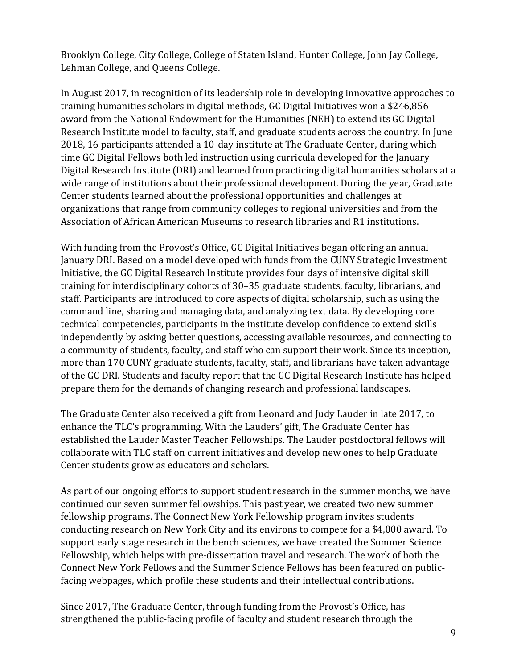Brooklyn College, City College, College of Staten Island, Hunter College, John Jay College, Lehman College, and Queens College.

In August 2017, in recognition of its leadership role in developing innovative approaches to training humanities scholars in digital methods, GC Digital Initiatives won a \$246,856 award from the National Endowment for the Humanities (NEH) to extend its GC Digital Research Institute model to faculty, staff, and graduate students across the country. In June 2018, 16 participants attended a 10-day institute at The Graduate Center, during which time GC Digital Fellows both led instruction using curricula developed for the January Digital Research Institute (DRI) and learned from practicing digital humanities scholars at a wide range of institutions about their professional development. During the year, Graduate Center students learned about the professional opportunities and challenges at organizations that range from community colleges to regional universities and from the Association of African American Museums to research libraries and R1 institutions.

With funding from the Provost's Office, GC Digital Initiatives began offering an annual January DRI. Based on a model developed with funds from the CUNY Strategic Investment Initiative, the GC Digital Research Institute provides four days of intensive digital skill training for interdisciplinary cohorts of 30–35 graduate students, faculty, librarians, and staff. Participants are introduced to core aspects of digital scholarship, such as using the command line, sharing and managing data, and analyzing text data. By developing core technical competencies, participants in the institute develop confidence to extend skills independently by asking better questions, accessing available resources, and connecting to a community of students, faculty, and staff who can support their work. Since its inception, more than 170 CUNY graduate students, faculty, staff, and librarians have taken advantage of the GC DRI. Students and faculty report that the GC Digital Research Institute has helped prepare them for the demands of changing research and professional landscapes.

The Graduate Center also received a gift from Leonard and Judy Lauder in late 2017, to enhance the TLC's programming. With the Lauders' gift, The Graduate Center has established the Lauder Master Teacher Fellowships. The Lauder postdoctoral fellows will collaborate with TLC staff on current initiatives and develop new ones to help Graduate Center students grow as educators and scholars.

As part of our ongoing efforts to support student research in the summer months, we have continued our seven summer fellowships. This past year, we created two new summer fellowship programs. The Connect New York Fellowship program invites students conducting research on New York City and its environs to compete for a \$4,000 award. To support early stage research in the bench sciences, we have created the Summer Science Fellowship, which helps with pre-dissertation travel and research. The work of both the Connect New York Fellows and the Summer Science Fellows has been featured on publicfacing webpages, which profile these students and their intellectual contributions.

Since 2017, The Graduate Center, through funding from the Provost's Office, has strengthened the public-facing profile of faculty and student research through the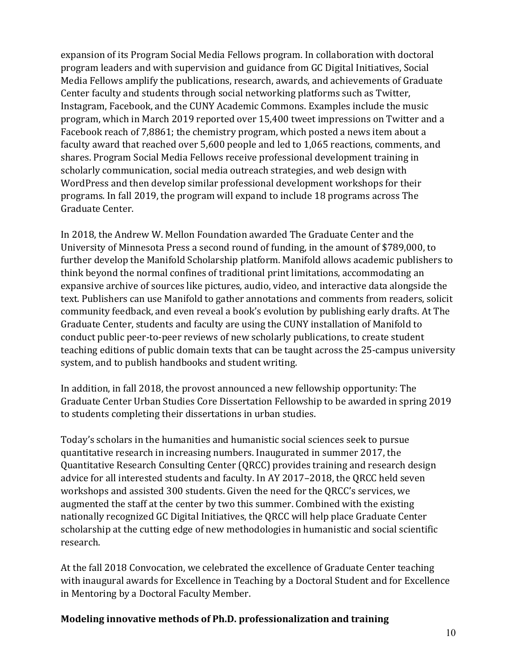expansion of its Program Social Media Fellows program. In collaboration with doctoral program leaders and with supervision and guidance from GC Digital Initiatives, Social Media Fellows amplify the publications, research, awards, and achievements of Graduate Center faculty and students through social networking platforms such as Twitter, Instagram, Facebook, and the CUNY Academic Commons. Examples include the music program, which in March 2019 reported over 15,400 tweet impressions on Twitter and a Facebook reach of 7,8861; the chemistry program, which posted a news item about a faculty award that reached over 5,600 people and led to 1,065 reactions, comments, and shares. Program Social Media Fellows receive professional development training in scholarly communication, social media outreach strategies, and web design with WordPress and then develop similar professional development workshops for their programs. In fall 2019, the program will expand to include 18 programs across The Graduate Center.

In 2018, the Andrew W. Mellon Foundation awarded The Graduate Center and the University of Minnesota Press a second round of funding, in the amount of \$789,000, to further develop the Manifold Scholarship platform. Manifold allows academic publishers to think beyond the normal confines of traditional print limitations, accommodating an expansive archive of sources like pictures, audio, video, and interactive data alongside the text. Publishers can use Manifold to gather annotations and comments from readers, solicit community feedback, and even reveal a book's evolution by publishing early drafts. At The Graduate Center, students and faculty are using the CUNY installation of Manifold to conduct public peer-to-peer reviews of new scholarly publications, to create student teaching editions of public domain texts that can be taught across the 25-campus university system, and to publish handbooks and student writing.

In addition, in fall 2018, the provost announced a new fellowship opportunity: The Graduate Center Urban Studies Core Dissertation Fellowship to be awarded in spring 2019 to students completing their dissertations in urban studies.

Today's scholars in the humanities and humanistic social sciences seek to pursue quantitative research in increasing numbers. Inaugurated in summer 2017, the Quantitative Research Consulting Center (QRCC) provides training and research design advice for all interested students and faculty. In AY 2017–2018, the QRCC held seven workshops and assisted 300 students. Given the need for the QRCC's services, we augmented the staff at the center by two this summer. Combined with the existing nationally recognized GC Digital Initiatives, the QRCC will help place Graduate Center scholarship at the cutting edge of new methodologies in humanistic and social scientific research.

At the fall 2018 Convocation, we celebrated the excellence of Graduate Center teaching with inaugural awards for Excellence in Teaching by a Doctoral Student and for Excellence in Mentoring by a Doctoral Faculty Member.

#### **Modeling innovative methods of Ph.D. professionalization and training**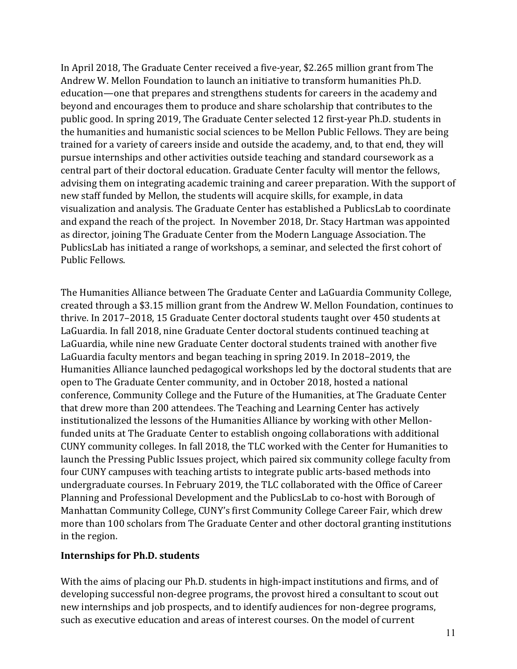In April 2018, The Graduate Center received a five-year, \$2.265 million grant from The Andrew W. Mellon Foundation to launch an initiative to transform humanities Ph.D. education—one that prepares and strengthens students for careers in the academy and beyond and encourages them to produce and share scholarship that contributes to the public good. In spring 2019, The Graduate Center selected 12 first-year Ph.D. students in the humanities and humanistic social sciences to be Mellon Public Fellows. They are being trained for a variety of careers inside and outside the academy, and, to that end, they will pursue internships and other activities outside teaching and standard coursework as a central part of their doctoral education. Graduate Center faculty will mentor the fellows, advising them on integrating academic training and career preparation. With the support of new staff funded by Mellon, the students will acquire skills, for example, in data visualization and analysis. The Graduate Center has established a PublicsLab to coordinate and expand the reach of the project. In November 2018, Dr. Stacy Hartman was appointed as director, joining The Graduate Center from the Modern Language Association. The PublicsLab has initiated a range of workshops, a seminar, and selected the first cohort of Public Fellows.

The Humanities Alliance between The Graduate Center and LaGuardia Community College, created through a \$3.15 million grant from the Andrew W. Mellon Foundation, continues to thrive. In 2017–2018, 15 Graduate Center doctoral students taught over 450 students at LaGuardia. In fall 2018, nine Graduate Center doctoral students continued teaching at LaGuardia, while nine new Graduate Center doctoral students trained with another five LaGuardia faculty mentors and began teaching in spring 2019. In 2018–2019, the Humanities Alliance launched pedagogical workshops led by the doctoral students that are open to The Graduate Center community, and in October 2018, hosted a national conference, Community College and the Future of the Humanities, at The Graduate Center that drew more than 200 attendees. The Teaching and Learning Center has actively institutionalized the lessons of the Humanities Alliance by working with other Mellonfunded units at The Graduate Center to establish ongoing collaborations with additional CUNY community colleges. In fall 2018, the TLC worked with the Center for Humanities to launch the Pressing Public Issues project, which paired six community college faculty from four CUNY campuses with teaching artists to integrate public arts-based methods into undergraduate courses. In February 2019, the TLC collaborated with the Office of Career Planning and Professional Development and the PublicsLab to co-host with Borough of Manhattan Community College, CUNY's first Community College Career Fair, which drew more than 100 scholars from The Graduate Center and other doctoral granting institutions in the region.

#### **Internships for Ph.D. students**

With the aims of placing our Ph.D. students in high-impact institutions and firms, and of developing successful non-degree programs, the provost hired a consultant to scout out new internships and job prospects, and to identify audiences for non-degree programs, such as executive education and areas of interest courses. On the model of current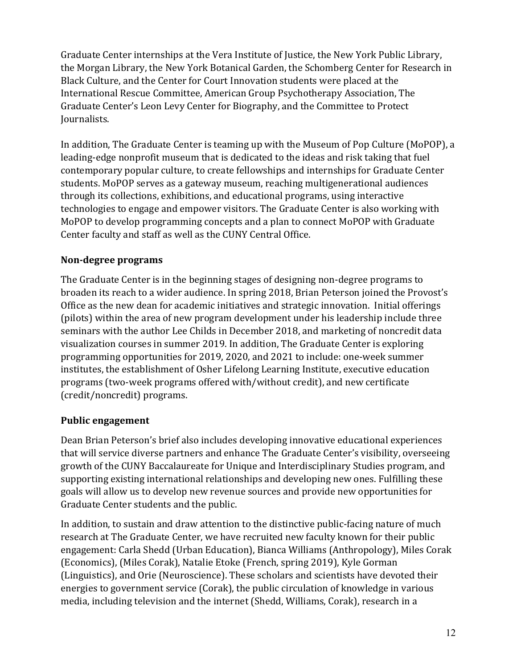Graduate Center internships at the Vera Institute of Justice, the New York Public Library, the Morgan Library, the New York Botanical Garden, the Schomberg Center for Research in Black Culture, and the Center for Court Innovation students were placed at the International Rescue Committee, American Group Psychotherapy Association, The Graduate Center's Leon Levy Center for Biography, and the Committee to Protect Journalists.

In addition, The Graduate Center is teaming up with the Museum of Pop Culture (MoPOP), a leading-edge nonprofit museum that is dedicated to the ideas and risk taking that fuel contemporary popular culture, to create fellowships and internships for Graduate Center students. MoPOP serves as a gateway museum, reaching multigenerational audiences through its collections, exhibitions, and educational programs, using interactive technologies to engage and empower visitors. The Graduate Center is also working with MoPOP to develop programming concepts and a plan to connect MoPOP with Graduate Center faculty and staff as well as the CUNY Central Office.

### **Non-degree programs**

The Graduate Center is in the beginning stages of designing non-degree programs to broaden its reach to a wider audience. In spring 2018, Brian Peterson joined the Provost's Office as the new dean for academic initiatives and strategic innovation. Initial offerings (pilots) within the area of new program development under his leadership include three seminars with the author Lee Childs in December 2018, and marketing of noncredit data visualization courses in summer 2019. In addition, The Graduate Center is exploring programming opportunities for 2019, 2020, and 2021 to include: one-week summer institutes, the establishment of Osher Lifelong Learning Institute, executive education programs (two-week programs offered with/without credit), and new certificate (credit/noncredit) programs.

## **Public engagement**

Dean Brian Peterson's brief also includes developing innovative educational experiences that will service diverse partners and enhance The Graduate Center's visibility, overseeing growth of the CUNY Baccalaureate for Unique and Interdisciplinary Studies program, and supporting existing international relationships and developing new ones. Fulfilling these goals will allow us to develop new revenue sources and provide new opportunities for Graduate Center students and the public.

In addition, to sustain and draw attention to the distinctive public-facing nature of much research at The Graduate Center, we have recruited new faculty known for their public engagement: Carla Shedd (Urban Education), Bianca Williams (Anthropology), Miles Corak (Economics), (Miles Corak), Natalie Etoke (French, spring 2019), Kyle Gorman (Linguistics), and Orie (Neuroscience). These scholars and scientists have devoted their energies to government service (Corak), the public circulation of knowledge in various media, including television and the internet (Shedd, Williams, Corak), research in a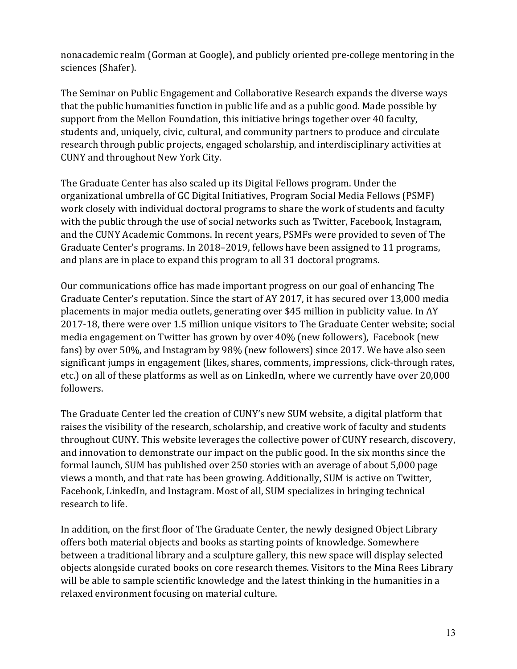nonacademic realm (Gorman at Google), and publicly oriented pre-college mentoring in the sciences (Shafer).

The Seminar on Public Engagement and Collaborative Research expands the diverse ways that the public humanities function in public life and as a public good. Made possible by support from the Mellon Foundation, this initiative brings together over 40 faculty, students and, uniquely, civic, cultural, and community partners to produce and circulate research through public projects, engaged scholarship, and interdisciplinary activities at CUNY and throughout New York City.

The Graduate Center has also scaled up its Digital Fellows program. Under the organizational umbrella of GC Digital Initiatives, Program Social Media Fellows (PSMF) work closely with individual doctoral programs to share the work of students and faculty with the public through the use of social networks such as Twitter, Facebook, Instagram, and the CUNY Academic Commons. In recent years, PSMFs were provided to seven of The Graduate Center's programs. In 2018–2019, fellows have been assigned to 11 programs, and plans are in place to expand this program to all 31 doctoral programs.

Our communications office has made important progress on our goal of enhancing The Graduate Center's reputation. Since the start of AY 2017, it has secured over 13,000 media placements in major media outlets, generating over \$45 million in publicity value. In AY 2017-18, there were over 1.5 million unique visitors to The Graduate Center website; social media engagement on Twitter has grown by over 40% (new followers), Facebook (new fans) by over 50%, and Instagram by 98% (new followers) since 2017. We have also seen significant jumps in engagement (likes, shares, comments, impressions, click-through rates, etc.) on all of these platforms as well as on LinkedIn, where we currently have over 20,000 followers.

The Graduate Center led the creation of CUNY's ne[w SUM](https://sum.cuny.edu/) website, a digital platform that raises the visibility of the research, scholarship, and creative work of faculty and students throughout CUNY. This website leverages the collective power of CUNY research, discovery, and innovation to demonstrate our impact on the public good. In the six months since the formal launch, SUM has published over 250 stories with an average of about 5,000 page views a month, and that rate has been growing. Additionally, SUM is active on Twitter, Facebook, LinkedIn, and Instagram. Most of all, SUM specializes in bringing technical research to life.

In addition, on the first floor of The Graduate Center, the newly designed Object Library offers both material objects and books as starting points of knowledge. Somewhere between a traditional library and a sculpture gallery, this new space will display selected objects alongside curated books on core research themes. Visitors to the Mina Rees Library will be able to sample scientific knowledge and the latest thinking in the humanities in a relaxed environment focusing on material culture.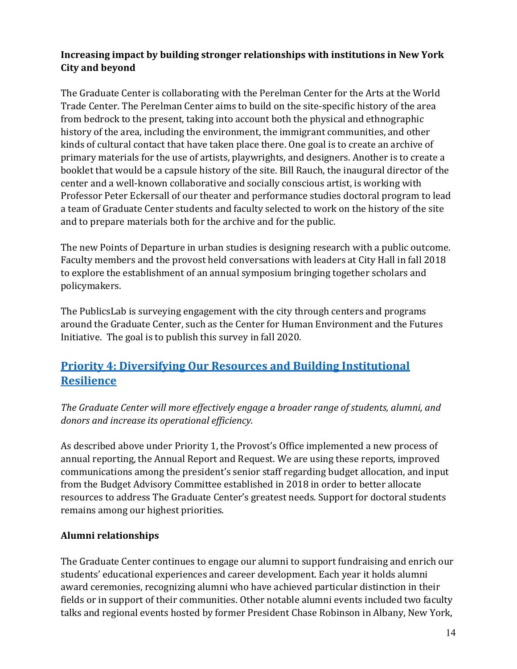### **Increasing impact by building stronger relationships with institutions in New York City and beyond**

The Graduate Center is collaborating with the Perelman Center for the Arts at the World Trade Center. The Perelman Center aims to build on the site-specific history of the area from bedrock to the present, taking into account both the physical and ethnographic history of the area, including the environment, the immigrant communities, and other kinds of cultural contact that have taken place there. One goal is to create an archive of primary materials for the use of artists, playwrights, and designers. Another is to create a booklet that would be a capsule history of the site. Bill Rauch, the inaugural director of the center and a well-known collaborative and socially conscious artist, is working with Professor Peter Eckersall of our theater and performance studies doctoral program to lead a team of Graduate Center students and faculty selected to work on the history of the site and to prepare materials both for the archive and for the public.

The new Points of Departure in urban studies is designing research with a public outcome. Faculty members and the provost held conversations with leaders at City Hall in fall 2018 to explore the establishment of an annual symposium bringing together scholars and policymakers.

The PublicsLab is surveying engagement with the city through centers and programs around the Graduate Center, such as the Center for Human Environment and the Futures Initiative. The goal is to publish this survey in fall 2020.

# **Priority 4: [Diversifying Our Resources and Building Institutional](http://www.gc.cuny.edu/About-the-GC/Provost-s-Office/Strategic-Plan-2017-2022/Four-Priorities/Diversifying-our-resources-and-building-institutional-resilience)  [Resilience](http://www.gc.cuny.edu/About-the-GC/Provost-s-Office/Strategic-Plan-2017-2022/Four-Priorities/Diversifying-our-resources-and-building-institutional-resilience)**

*The Graduate Center will more effectively engage a broader range of students, alumni, and donors and increase its operational efficiency.*

As described above under Priority 1, the Provost's Office implemented a new process of annual reporting, the Annual Report and Request. We are using these reports, improved communications among the president's senior staff regarding budget allocation, and input from the Budget Advisory Committee established in 2018 in order to better allocate resources to address The Graduate Center's greatest needs. Support for doctoral students remains among our highest priorities.

### **Alumni relationships**

The Graduate Center continues to engage our alumni to support fundraising and enrich our students' educational experiences and career development. Each year it holds alumni award ceremonies, recognizing alumni who have achieved particular distinction in their fields or in support of their communities. Other notable alumni events included two faculty talks and regional events hosted by former President Chase Robinson in Albany, New York,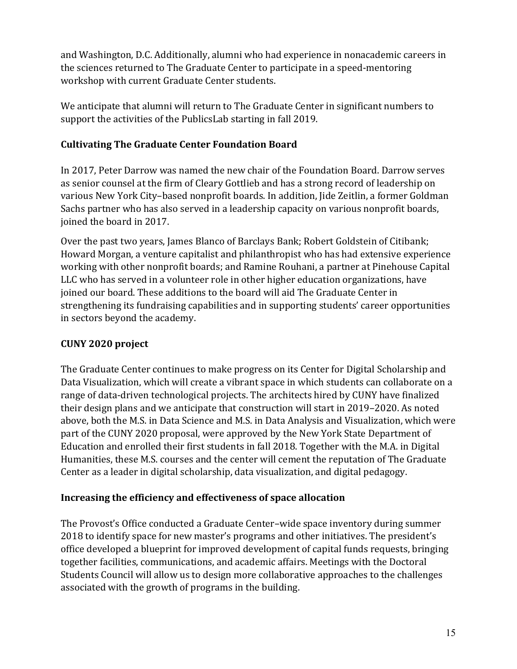and Washington, D.C. Additionally, alumni who had experience in nonacademic careers in the sciences returned to The Graduate Center to participate in a speed-mentoring workshop with current Graduate Center students.

We anticipate that alumni will return to The Graduate Center in significant numbers to support the activities of the PublicsLab starting in fall 2019.

## **Cultivating The Graduate Center Foundation Board**

In 2017, Peter Darrow was named the new chair of the Foundation Board. Darrow serves as senior counsel at the firm of Cleary Gottlieb and has a strong record of leadership on various New York City–based nonprofit boards. In addition, Jide Zeitlin, a former Goldman Sachs partner who has also served in a leadership capacity on various nonprofit boards, joined the board in 2017.

Over the past two years, James Blanco of Barclays Bank; Robert Goldstein of Citibank; Howard Morgan, a venture capitalist and philanthropist who has had extensive experience working with other nonprofit boards; and Ramine Rouhani, a partner at Pinehouse Capital LLC who has served in a volunteer role in other higher education organizations, have joined our board. These additions to the board will aid The Graduate Center in strengthening its fundraising capabilities and in supporting students' career opportunities in sectors beyond the academy.

## **CUNY 2020 project**

The Graduate Center continues to make progress on its Center for Digital Scholarship and Data Visualization, which will create a vibrant space in which students can collaborate on a range of data-driven technological projects. The architects hired by CUNY have finalized their design plans and we anticipate that construction will start in 2019–2020. As noted above, both the M.S. in Data Science and M.S. in Data Analysis and Visualization, which were part of the CUNY 2020 proposal, were approved by the New York State Department of Education and enrolled their first students in fall 2018. Together with the M.A. in Digital Humanities, these M.S. courses and the center will cement the reputation of The Graduate Center as a leader in digital scholarship, data visualization, and digital pedagogy.

## **Increasing the efficiency and effectiveness of space allocation**

The Provost's Office conducted a Graduate Center–wide space inventory during summer 2018 to identify space for new master's programs and other initiatives. The president's office developed a blueprint for improved development of capital funds requests, bringing together facilities, communications, and academic affairs. Meetings with the Doctoral Students Council will allow us to design more collaborative approaches to the challenges associated with the growth of programs in the building.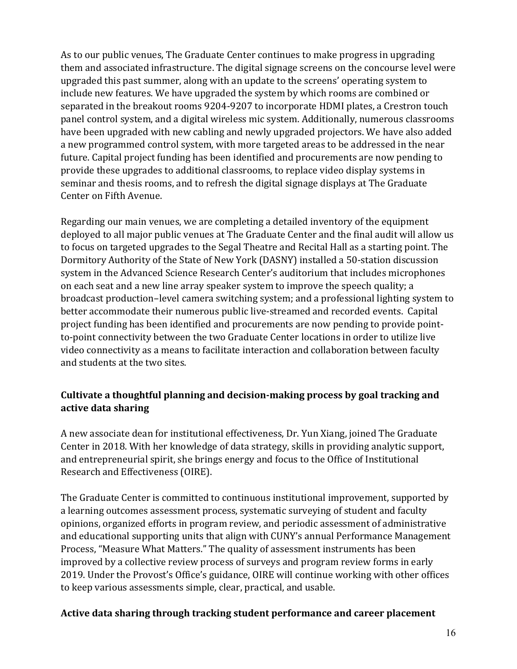As to our public venues, The Graduate Center continues to make progress in upgrading them and associated infrastructure. The digital signage screens on the concourse level were upgraded this past summer, along with an update to the screens' operating system to include new features. We have upgraded the system by which rooms are combined or separated in the breakout rooms 9204-9207 to incorporate HDMI plates, a Crestron touch panel control system, and a digital wireless mic system. Additionally, numerous classrooms have been upgraded with new cabling and newly upgraded projectors. We have also added a new programmed control system, with more targeted areas to be addressed in the near future. Capital project funding has been identified and procurements are now pending to provide these upgrades to additional classrooms, to replace video display systems in seminar and thesis rooms, and to refresh the digital signage displays at The Graduate Center on Fifth Avenue.

Regarding our main venues, we are completing a detailed inventory of the equipment deployed to all major public venues at The Graduate Center and the final audit will allow us to focus on targeted upgrades to the Segal Theatre and Recital Hall as a starting point. The Dormitory Authority of the State of New York (DASNY) installed a 50-station discussion system in the Advanced Science Research Center's auditorium that includes microphones on each seat and a new line array speaker system to improve the speech quality; a broadcast production–level camera switching system; and a professional lighting system to better accommodate their numerous public live-streamed and recorded events. Capital project funding has been identified and procurements are now pending to provide pointto-point connectivity between the two Graduate Center locations in order to utilize live video connectivity as a means to facilitate interaction and collaboration between faculty and students at the two sites.

### **Cultivate a thoughtful planning and decision-making process by goal tracking and active data sharing**

A new associate dean for institutional effectiveness, Dr. Yun Xiang, joined The Graduate Center in 2018. With her knowledge of data strategy, skills in providing analytic support, and entrepreneurial spirit, she brings energy and focus to the Office of Institutional Research and Effectiveness (OIRE).

The Graduate Center is committed to continuous institutional improvement, supported by a learning outcomes assessment process, systematic surveying of student and faculty opinions, organized efforts in program review, and periodic assessment of administrative and educational supporting units that align with CUNY's annual Performance Management Process, "Measure What Matters." The quality of assessment instruments has been improved by a collective review process of surveys and program review forms in early 2019. Under the Provost's Office's guidance, OIRE will continue working with other offices to keep various assessments simple, clear, practical, and usable.

#### **Active data sharing through tracking student performance and career placement**